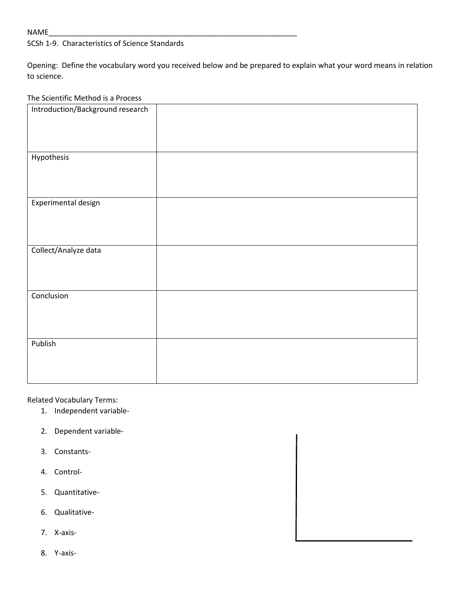## NAME\_\_\_\_\_\_\_\_\_\_\_\_\_\_\_\_\_\_\_\_\_\_\_\_\_\_\_\_\_\_\_\_\_\_\_\_\_\_\_\_\_\_\_\_\_\_\_\_\_\_\_\_\_\_\_\_\_\_\_\_

# SCSh 1-9. Characteristics of Science Standards

Opening: Define the vocabulary word you received below and be prepared to explain what your word means in relation to science.

## The Scientific Method is a Process

| Introduction/Background research |  |
|----------------------------------|--|
|                                  |  |
|                                  |  |
|                                  |  |
| Hypothesis                       |  |
|                                  |  |
|                                  |  |
|                                  |  |
| Experimental design              |  |
|                                  |  |
|                                  |  |
|                                  |  |
| Collect/Analyze data             |  |
|                                  |  |
|                                  |  |
|                                  |  |
| Conclusion                       |  |
|                                  |  |
|                                  |  |
|                                  |  |
| Publish                          |  |
|                                  |  |
|                                  |  |
|                                  |  |
|                                  |  |

Related Vocabulary Terms:

- 1. Independent variable-
- 2. Dependent variable-
- 3. Constants-
- 4. Control-
- 5. Quantitative-
- 6. Qualitative-
- 7. X-axis-
- 8. Y-axis-